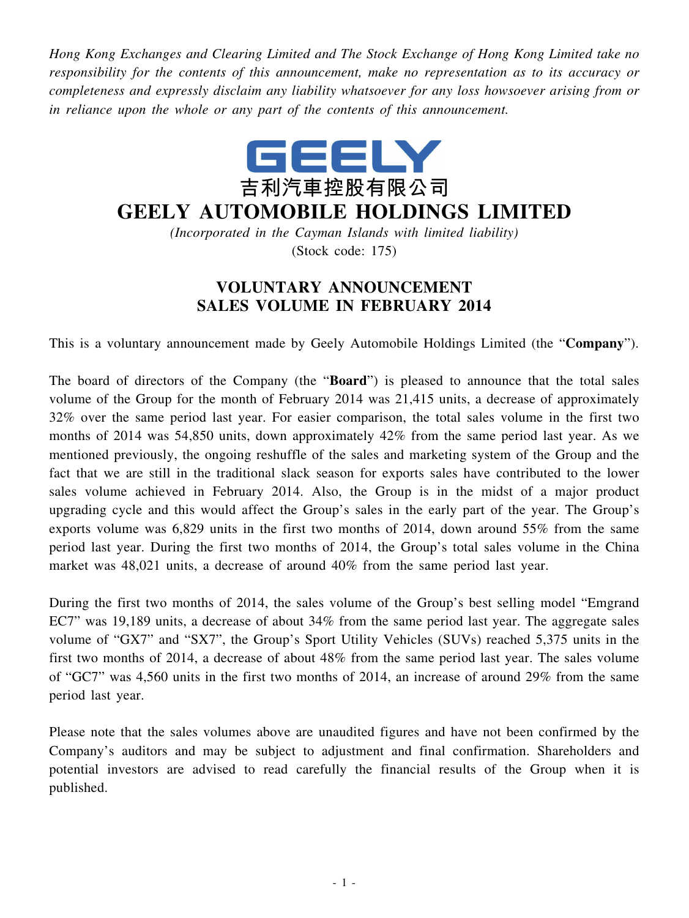*Hong Kong Exchanges and Clearing Limited and The Stock Exchange of Hong Kong Limited take no responsibility for the contents of this announcement, make no representation as to its accuracy or completeness and expressly disclaim any liability whatsoever for any loss howsoever arising from or in reliance upon the whole or any part of the contents of this announcement.*



## **GEELY AUTOMOBILE HOLDINGS LIMITED**

*(Incorporated in the Cayman Islands with limited liability)* (Stock code: 175)

## **VOLUNTARY ANNOUNCEMENT SALES VOLUME IN FEBRUARY 2014**

This is a voluntary announcement made by Geely Automobile Holdings Limited (the "**Company**").

The board of directors of the Company (the "**Board**") is pleased to announce that the total sales volume of the Group for the month of February 2014 was 21,415 units, a decrease of approximately 32% over the same period last year. For easier comparison, the total sales volume in the first two months of 2014 was 54,850 units, down approximately 42% from the same period last year. As we mentioned previously, the ongoing reshuffle of the sales and marketing system of the Group and the fact that we are still in the traditional slack season for exports sales have contributed to the lower sales volume achieved in February 2014. Also, the Group is in the midst of a major product upgrading cycle and this would affect the Group's sales in the early part of the year. The Group's exports volume was 6,829 units in the first two months of 2014, down around 55% from the same period last year. During the first two months of 2014, the Group's total sales volume in the China market was 48,021 units, a decrease of around 40% from the same period last year.

During the first two months of 2014, the sales volume of the Group's best selling model "Emgrand EC7" was 19,189 units, a decrease of about 34% from the same period last year. The aggregate sales volume of "GX7" and "SX7", the Group's Sport Utility Vehicles (SUVs) reached 5,375 units in the first two months of 2014, a decrease of about 48% from the same period last year. The sales volume of "GC7" was 4,560 units in the first two months of 2014, an increase of around 29% from the same period last year.

Please note that the sales volumes above are unaudited figures and have not been confirmed by the Company's auditors and may be subject to adjustment and final confirmation. Shareholders and potential investors are advised to read carefully the financial results of the Group when it is published.